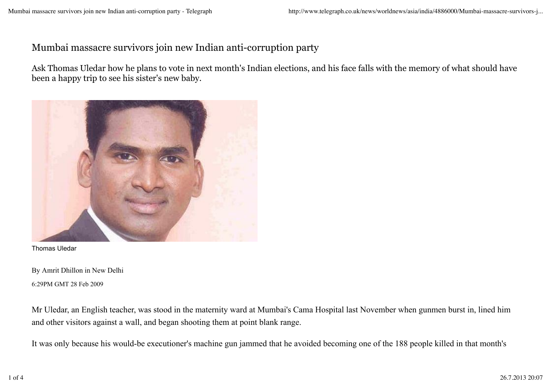Mumbai massacre survivors join new Indian anti-corruption party

Ask Thomas Uledar how he plans to vote in next month's Indian elections, and his face falls with the memory of what should have been a happy trip to see his sister's new baby.



Thomas Uledar

By Amrit Dhillon in New Delhi 6:29PM GMT 28 Feb 2009

Mr Uledar, an English teacher, was stood in the maternity ward at Mumbai's Cama Hospital last November when gunmen burst in, lined him and other visitors against a wall, and began shooting them at point blank range.

It was only because his would-be executioner's machine gun jammed that he avoided becoming one of the 188 people killed in that month's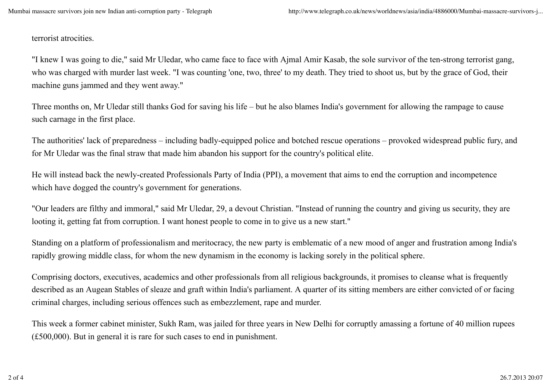terrorist atrocities.

"I knew I was going to die," said Mr Uledar, who came face to face with Ajmal Amir Kasab, the sole survivor of the ten-strong terrorist gang, who was charged with murder last week. "I was counting 'one, two, three' to my death. They tried to shoot us, but by the grace of God, their machine guns jammed and they went away."

Three months on, Mr Uledar still thanks God for saving his life – but he also blames India's government for allowing the rampage to cause such carnage in the first place.

The authorities' lack of preparedness – including badly-equipped police and botched rescue operations – provoked widespread public fury, and for Mr Uledar was the final straw that made him abandon his support for the country's political elite.

He will instead back the newly-created Professionals Party of India (PPI), a movement that aims to end the corruption and incompetence which have dogged the country's government for generations.

"Our leaders are filthy and immoral," said Mr Uledar, 29, a devout Christian. "Instead of running the country and giving us security, they are looting it, getting fat from corruption. I want honest people to come in to give us a new start."

Standing on a platform of professionalism and meritocracy, the new party is emblematic of a new mood of anger and frustration among India's rapidly growing middle class, for whom the new dynamism in the economy is lacking sorely in the political sphere.

Comprising doctors, executives, academics and other professionals from all religious backgrounds, it promises to cleanse what is frequently described as an Augean Stables of sleaze and graft within India's parliament. A quarter of its sitting members are either convicted of or facing criminal charges, including serious offences such as embezzlement, rape and murder.

This week a former cabinet minister, Sukh Ram, was jailed for three years in New Delhi for corruptly amassing a fortune of 40 million rupees (£500,000). But in general it is rare for such cases to end in punishment.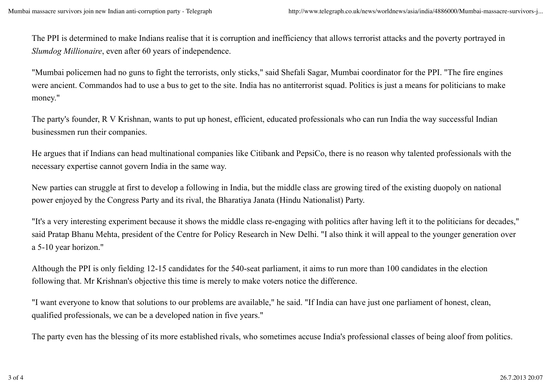The PPI is determined to make Indians realise that it is corruption and inefficiency that allows terrorist attacks and the poverty portrayed in *Slumdog Millionaire*, even after 60 years of independence.

"Mumbai policemen had no guns to fight the terrorists, only sticks," said Shefali Sagar, Mumbai coordinator for the PPI. "The fire engines were ancient. Commandos had to use a bus to get to the site. India has no antiterrorist squad. Politics is just a means for politicians to make money."

The party's founder, R V Krishnan, wants to put up honest, efficient, educated professionals who can run India the way successful Indian businessmen run their companies.

He argues that if Indians can head multinational companies like Citibank and PepsiCo, there is no reason why talented professionals with the necessary expertise cannot govern India in the same way.

New parties can struggle at first to develop a following in India, but the middle class are growing tired of the existing duopoly on national power enjoyed by the Congress Party and its rival, the Bharatiya Janata (Hindu Nationalist) Party.

"It's a very interesting experiment because it shows the middle class re-engaging with politics after having left it to the politicians for decades," said Pratap Bhanu Mehta, president of the Centre for Policy Research in New Delhi. "I also think it will appeal to the younger generation over a 5-10 year horizon."

Although the PPI is only fielding 12-15 candidates for the 540-seat parliament, it aims to run more than 100 candidates in the election following that. Mr Krishnan's objective this time is merely to make voters notice the difference.

"I want everyone to know that solutions to our problems are available," he said. "If India can have just one parliament of honest, clean, qualified professionals, we can be a developed nation in five years."

The party even has the blessing of its more established rivals, who sometimes accuse India's professional classes of being aloof from politics.